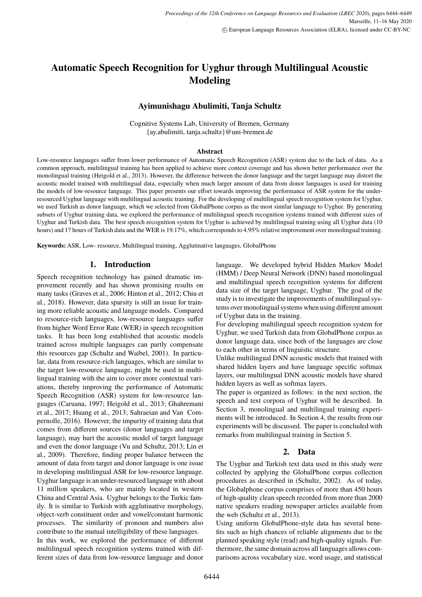# <span id="page-0-0"></span>**Automatic Speech Recognition for Uyghur through Multilingual Acoustic Modeling**

# **Ayimunishagu Abulimiti, Tanja Schultz**

Cognitive Systems Lab, University of Bremen, Germany {ay.abulimiti, tanja.schultz}@uni-bremen.de

#### **Abstract**

Low-resource languages suffer from lower performance of Automatic Speech Recognition (ASR) system due to the lack of data. As a common approach, multilingual training has been applied to achieve more context coverage and has shown better performance over the monolingual training (Heigold et al., 2013). However, the difference between the donor language and the target language may distort the acoustic model trained with multilingual data, especially when much larger amount of data from donor languages is used for training the models of low-resource language. This paper presents our effort towards improving the performance of ASR system for the underresourced Uyghur language with multilingual acoustic training. For the developing of multilingual speech recognition system for Uyghur, we used Turkish as donor language, which we selected from GlobalPhone corpus as the most similar language to Uyghur. By generating subsets of Uyghur training data, we explored the performance of multilingual speech recognition systems trained with different sizes of Uyghur and Turkish data. The best speech recognition system for Uyghur is achieved by multilingual training using all Uyghur data (10 hours) and 17 hours of Turkish data and the WER is 19.17%, which corresponds to 4.95% relative improvement over monolingual training.

**Keywords:** ASR, Low- resource, Multilingual training, Agglutinative languages, GlobalPhone

#### **1. Introduction**

Speech recognition technology has gained dramatic improvement recently and has shown promising results on many tasks (Graves et al., 2006; Hinton et al., 2012; Chiu et al., 2018). However, data sparsity is still an issue for training more reliable acoustic and language models. Compared to resource-rich languages, low-resource languages suffer from higher Word Error Rate (WER) in speech recognition tasks. It has been long established that acoustic models trained across multiple languages can partly compensate this resources gap (Schultz and Waibel, 2001). In particular, data from resource-rich languages, which are similar to the target low-resource language, might be used in multilingual training with the aim to cover more contextual variations, thereby improving the performance of Automatic Speech Recognition (ASR) system for low-resource languages (Caruana, 1997; Heigold et al., 2013; Ghahremani et al., 2017; Huang et al., 2013; Sahraeian and Van Compernolle, 2016). However, the impurity of training data that comes from different sources (donor languages and target language), may hurt the acoustic model of target language and even the donor language (Vu and Schultz, 2013; Lin et al., 2009). Therefore, finding proper balance between the amount of data from target and donor language is one issue in developing multilingual ASR for low-resource language. Uyghur language is an under-resourced language with about 11 million speakers, who are mainly located in western China and Central Asia. Uyghur belongs to the Turkic family. It is similar to Turkish with agglutinative morphology, object-verb constituent order and vowel/constant harmonic processes. The similarity of pronoun and numbers also contribute to the mutual intelligibility of these languages. In this work, we explored the performance of different multilingual speech recognition systems trained with dif-

ferent sizes of data from low-resource language and donor

language. We developed hybrid Hidden Markov Model (HMM) / Deep Neural Network (DNN) based monolingual and multilingual speech recognition systems for different data size of the target language, Uyghur. The goal of the study is to investigate the improvements of multilingual systems over monolingual systems when using different amount of Uyghur data in the training.

For developing multilingual speech recognition system for Uyghur, we used Turkish data from GlobalPhone corpus as donor language data, since both of the languages are close to each other in terms of linguistic structure.

Unlike multilingual DNN acoustic models that trained with shared hidden layers and have language specific softmax layers, our multilingual DNN acoustic models have shared hidden layers as well as softmax layers.

The paper is organized as follows: in the next section, the speech and text corpora of Uyghur will be described. In Section 3, monolingual and multilingual training experiments will be introduced. In Section 4, the results from our experiments will be discussed. The paper is concluded with remarks from multilingual training in Section 5.

# **2. Data**

The Uyghur and Turkish text data used in this study were collected by applying the GlobalPhone corpus collection procedures as described in (Schultz, 2002). As of today, the Globalphone corpus comprises of more than 450 hours of high-quality clean speech recorded from more than 2000 native speakers reading newspaper articles available from the web (Schultz et al., 2013).

Using uniform GlobalPhone-style data has several benefits such as high chances of reliable alignments due to the planned speaking style (read) and high-quality signals. Furthermore, the same domain across all languages allows comparisons across vocabulary size, word usage, and statistical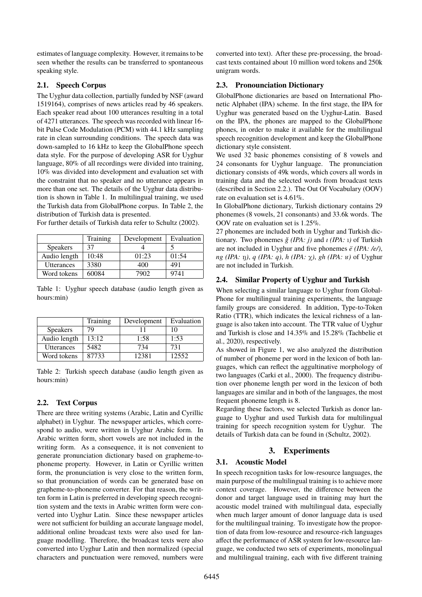estimates of language complexity. However, it remains to be seen whether the results can be transferred to spontaneous speaking style.

## **2.1. Speech Corpus**

The Uyghur data collection, partially funded by NSF (award 1519164), comprises of news articles read by 46 speakers. Each speaker read about 100 utterances resulting in a total of 4271 utterances. The speech was recorded with linear 16 bit Pulse Code Modulation (PCM) with 44.1 kHz sampling rate in clean surrounding conditions. The speech data was down-sampled to 16 kHz to keep the GlobalPhone speech data style. For the purpose of developing ASR for Uyghur language, 80% of all recordings were divided into training, 10% was divided into development and evaluation set with the constraint that no speaker and no utterance appears in more than one set. The details of the Uyghur data distribution is shown in Table [1.](#page-1-0) In multilingual training, we used the Turkish data from GlobalPhone corpus. In Table [2,](#page-1-1) the distribution of Turkish data is presented.

For further details of Turkish data refer to [Schultz \(2002\)](#page-0-0).

|                 | Training | Development | Evaluation |
|-----------------|----------|-------------|------------|
| <b>Speakers</b> | 37       |             |            |
| Audio length    | 10:48    | 01:23       | 01:54      |
| Utterances      | 3380     | 400         | 491        |
| Word tokens     | 60084    | 7902        | 9741       |

<span id="page-1-0"></span>Table 1: Uyghur speech database (audio length given as hours:min)

|                   | Training | Development | Evaluation |
|-------------------|----------|-------------|------------|
| <b>Speakers</b>   | 79       |             | 10         |
| Audio length      | 13:12    | 1:58        | 1:53       |
| <b>Utterances</b> | 5482     | 734         | 731        |
| Word tokens       | 87733    | 12381       | 12552      |

<span id="page-1-1"></span>Table 2: Turkish speech database (audio length given as hours:min)

# <span id="page-1-2"></span>**2.2. Text Corpus**

There are three writing systems (Arabic, Latin and Cyrillic alphabet) in Uyghur. The newspaper articles, which correspond to audio, were written in Uyghur Arabic form. In Arabic written form, short vowels are not included in the writing form. As a consequence, it is not convenient to generate pronunciation dictionary based on grapheme-tophoneme property. However, in Latin or Cyrillic written form, the pronunciation is very close to the written form, so that pronunciation of words can be generated base on grapheme-to-phoneme converter. For that reason, the written form in Latin is preferred in developing speech recognition system and the texts in Arabic written form were converted into Uyghur Latin. Since these newspaper articles were not sufficient for building an accurate language model, additional online broadcast texts were also used for language modelling. Therefore, the broadcast texts were also converted into Uyghur Latin and then normalized (special characters and punctuation were removed, numbers were converted into text). After these pre-processing, the broadcast texts contained about 10 million word tokens and 250k unigram words.

## **2.3. Pronounciation Dictionary**

GlobalPhone dictionaries are based on International Phonetic Alphabet (IPA) scheme. In the first stage, the IPA for Uyghur was generated based on the Uyghur-Latin. Based on the IPA, the phones are mapped to the GlobalPhone phones, in order to make it available for the multilingual speech recognition development and keep the GlobalPhone dictionary style consistent.

We used 32 basic phonemes consisting of 8 vowels and 24 consonants for Uyghur language. The pronunciation dictionary consists of 49k words, which covers all words in training data and the selected words from broadcast texts (described in Section [2.2.\)](#page-1-2). The Out Of Vocabulary (OOV) rate on evaluation set is 4.61%.

In GlobalPhone dictionary, Turkish dictionary contains 29 phonemes (8 vowels, 21 consonants) and 33.6k words. The OOV rate on evaluation set is 1.25%.

27 phonemes are included both in Uyghur and Turkish dictionary. Two phonemes *ğ (IPA: j)* and *ı (IPA:* ı*)* of Turkish are not included in Uyghur and five phonemes *ë (IPA: /e/)*, *ng (IPA: ŋ), q (IPA: q), h (IPA:*  $\chi$ *), gh (IPA: ʁ)* of Uyghur are not included in Turkish.

## **2.4. Similar Property of Uyghur and Turkish**

When selecting a similar language to Uyghur from Global-Phone for multilingual training experiments, the language family groups are considered. In addition, Type-to-Token Ratio (TTR), which indicates the lexical richness of a language is also taken into account. The TTR value of Uyghur and Turkish is close and 14.35% and 15.28% [\(Tachbelie et](#page-0-0) [al., 2020\)](#page-0-0), respectively.

As showed in Figure [1,](#page-2-0) we also analyzed the distribution of number of phoneme per word in the lexicon of both languages, which can reflect the aggultinative morphology of two languages [\(Carki et al., 2000\)](#page-0-0). The frequency distribution over phoneme length per word in the lexicon of both languages are similar and in both of the languages, the most frequent phoneme length is 8.

Regarding these factors, we selected Turkish as donor language to Uyghur and used Turkish data for multilingual training for speech recognition system for Uyghur. The details of Turkish data can be found in [\(Schultz, 2002\)](#page-0-0).

# **3. Experiments**

# **3.1. Acoustic Model**

In speech recognition tasks for low-resource languages, the main purpose of the multilingual training is to achieve more context coverage. However, the difference between the donor and target language used in training may hurt the acoustic model trained with multilingual data, especially when much larger amount of donor language data is used for the multilingual training. To investigate how the proportion of data from low-resource and resource-rich languages affect the performance of ASR system for low-resource language, we conducted two sets of experiments, monolingual and multilingual training, each with five different training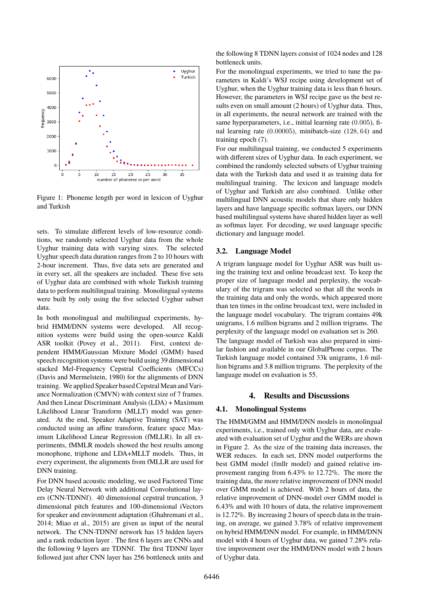

<span id="page-2-0"></span>Figure 1: Phoneme length per word in lexicon of Uyghur and Turkish

sets. To simulate different levels of low-resource conditions, we randomly selected Uyghur data from the whole Uyghur training data with varying sizes. The selected Uyghur speech data duration ranges from 2 to 10 hours with 2-hour increment. Thus, five data sets are generated and in every set, all the speakers are included. These five sets of Uyghur data are combined with whole Turkish training data to perform multilingual training. Monolingual systems were built by only using the five selected Uyghur subset data.

In both monolingual and multilingual experiments, hybrid HMM/DNN systems were developed. All recognition systems were build using the open-source Kaldi ASR toolkit [\(Povey et al., 2011\)](#page-0-0). First, context dependent HMM/Gaussian Mixture Model (GMM) based speech recognition systems were build using 39 dimensional stacked Mel-Frequency Cepstral Coefficients (MFCCs) [\(Davis and Mermelstein, 1980\)](#page-0-0) for the alignments of DNN training. We applied Speaker based Cepstral Mean and Variance Normalization (CMVN) with context size of 7 frames. And then Linear Discriminant Analysis (LDA) + Maximum Likelihood Linear Transform (MLLT) model was generated. At the end, Speaker Adaptive Training (SAT) was conducted using an affine transform, feature space Maximum Likelihood Linear Regression (fMLLR). In all experiments, fMMLR models showed the best results among monophone, triphone and LDA+MLLT models. Thus, in every experiment, the alignments from fMLLR are used for DNN training.

For DNN based acoustic modeling, we used Factored Time Delay Neural Network with additional Convolutional layers (CNN-TDNNf). 40 dimensional cepstral truncation, 3 dimensional pitch features and 100-dimensional iVectors for speaker and environment adaptation [\(Ghahremani et al.,](#page-0-0) [2014; Miao et al., 2015\)](#page-0-0) are given as input of the neural network. The CNN-TDNNf network has 15 hidden layers and a rank reduction layer . The first 6 layers are CNNs and the following 9 layers are TDNNf. The first TDNNf layer followed just after CNN layer has 256 bottleneck units and the following 8 TDNN layers consist of 1024 nodes and 128 bottleneck units.

For the monolingual experiments, we tried to tune the parameters in Kaldi's WSJ recipe using development set of Uyghur, when the Uyghur training data is less than 6 hours. However, the parameters in WSJ recipe gave us the best results even on small amount (2 hours) of Uyghur data. Thus, in all experiments, the neural network are trained with the same hyperparameters, i.e., initial learning rate (0.005), final learning rate (0.00005), minibatch-size (128, 64) and training epoch (7).

For our multilingual training, we conducted 5 experiments with different sizes of Uyghur data. In each experiment, we combined the randomly selected subsets of Uyghur training data with the Turkish data and used it as training data for multilingual training. The lexicon and language models of Uyghur and Turkish are also combined. Unlike other multilingual DNN acoustic models that share only hidden layers and have language specific softmax layers, our DNN based multilingual systems have shared hidden layer as well as softmax layer. For decoding, we used language specific dictionary and language model.

#### **3.2. Language Model**

A trigram language model for Uyghur ASR was built using the training text and online broadcast text. To keep the proper size of language model and perplexity, the vocabulary of the trigram was selected so that all the words in the training data and only the words, which appeared more than ten times in the online broadcast text, were included in the language model vocabulary. The trigram contains 49k unigrams, 1.6 million bigrams and 2 million trigrams. The perplexity of the language model on evaluation set is 260. The language model of Turkish was also prepared in similar fashion and available in our GlobalPhone corpus. The

Turkish language model contained 33k unigrams, 1.6 million bigrams and 3.8 million trigrams. The perplexity of the language model on evaluation is 55.

#### **4. Results and Discussions**

#### **4.1. Monolingual Systems**

The HMM/GMM and HMM/DNN models in monolingual experiments, i.e., trained only with Uyghur data, are evaluated with evaluation set of Uyghur and the WERs are shown in Figure [2.](#page-3-0) As the size of the training data increases, the WER reduces. In each set, DNN model outperforms the best GMM model (fmllr model) and gained relative improvement ranging from 6.43% to 12.72%. The more the training data, the more relative improvement of DNN model over GMM model is achieved. With 2 hours of data, the relative improvement of DNN-model over GMM model is 6.43% and with 10 hours of data, the relative improvement is 12.72%. By increasing 2 hours of speech data in the training, on average, we gained 3.78% of relative improvement on hybrid HMM/DNN model. For example, in HMM/DNN model with 4 hours of Uyghur data, we gained 7.28% relative improvement over the HMM/DNN model with 2 hours of Uyghur data.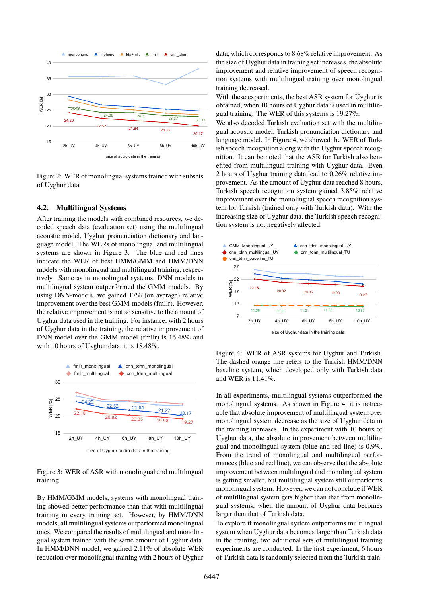

<span id="page-3-0"></span>Figure 2: WER of monolingual systems trained with subsets of Uyghur data

#### **4.2. Multilingual Systems**

After training the models with combined resources, we decoded speech data (evaluation set) using the multilingual acoustic model, Uyghur pronunciation dictionary and language model. The WERs of monolingual and multilingual systems are shown in Figure [3.](#page-3-1) The blue and red lines indicate the WER of best HMM/GMM and HMM/DNN models with monolingual and multilingual training, respectively. Same as in monolingual systems, DNN models in multilingual system outperformed the GMM models. By using DNN-models, we gained 17% (on average) relative improvement over the best GMM-models (fmllr). However, the relative improvement is not so sensitive to the amount of Uyghur data used in the training. For instance, with 2 hours of Uyghur data in the training, the relative improvement of DNN-model over the GMM-model (fmllr) is 16.48% and with 10 hours of Uyghur data, it is 18.48%.



<span id="page-3-1"></span>Figure 3: WER of ASR with monolingual and multilingual training

By HMM/GMM models, systems with monolingual training showed better performance than that with multilingual training in every training set. However, by HMM/DNN models, all multilingual systems outperformed monolingual ones. We compared the results of multilingual and monolingual system trained with the same amount of Uyghur data. In HMM/DNN model, we gained 2.11% of absolute WER reduction over monolingual training with 2 hours of Uyghur data, which corresponds to 8.68% relative improvement. As the size of Uyghur data in training set increases, the absolute improvement and relative improvement of speech recognition systems with multilingual training over monolingual training decreased.

With these experiments, the best ASR system for Uyghur is obtained, when 10 hours of Uyghur data is used in multilingual training. The WER of this systems is 19.27%.

We also decoded Turkish evaluation set with the multilingual acoustic model, Turkish pronunciation dictionary and language model. In Figure [4,](#page-3-2) we showed the WER of Turkish speech recognition along with the Uyghur speech recognition. It can be noted that the ASR for Turkish also benefited from multilingual training with Uyghur data. Even 2 hours of Uyghur training data lead to 0.26% relative improvement. As the amount of Uyghur data reached 8 hours, Turkish speech recognition system gained 3.85% relative improvement over the monolingual speech recognition system for Turkish (trained only with Turkish data). With the increasing size of Uyghur data, the Turkish speech recognition system is not negatively affected.



<span id="page-3-2"></span>Figure 4: WER of ASR systems for Uyghur and Turkish. The dashed orange line refers to the Turkish HMM/DNN baseline system, which developed only with Turkish data and WER is 11.41%.

In all experiments, multilingual systems outperformed the monolingual systems. As shown in Figure [4,](#page-3-2) it is noticeable that absolute improvement of multilingual system over monolingual system decrease as the size of Uyghur data in the training increases. In the experiment with 10 hours of Uyghur data, the absolute improvement between multilingual and monolingual system (blue and red line) is 0.9%. From the trend of monolingual and multilingual performances (blue and red line), we can observe that the absolute improvement between multilingual and monolingual system is getting smaller, but multilingual system still outperforms monolingual system. However, we can not conclude if WER of multilingual system gets higher than that from monolingual systems, when the amount of Uyghur data becomes larger than that of Turkish data.

To explore if monolingual system outperforms multilingual system when Uyghur data becomes larger than Turkish data in the training, two additional sets of multilingual training experiments are conducted. In the first experiment, 6 hours of Turkish data is randomly selected from the Turkish train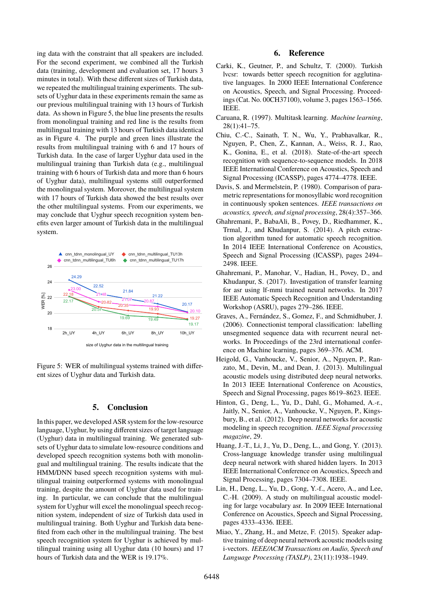ing data with the constraint that all speakers are included. For the second experiment, we combined all the Turkish data (training, development and evaluation set, 17 hours 3 minutes in total). With these different sizes of Turkish data, we repeated the multilingual training experiments. The subsets of Uyghur data in these experiments remain the same as our previous multilingual training with 13 hours of Turkish data. As shown in Figure [5,](#page-4-0) the blue line presents the results from monolingual training and red line is the results from multilingual training with 13 hours of Turkish data identical as in Figure [4.](#page-3-2) The purple and green lines illustrate the results from multilingual training with 6 and 17 hours of Turkish data. In the case of larger Uyghur data used in the multilingual training than Turkish data (e.g., multilingual training with 6 hours of Turkish data and more than 6 hours of Uyghur data), multilingual systems still outperformed the monolingual system. Moreover, the multilingual system with 17 hours of Turkish data showed the best results over the other multilingual systems. From our experiments, we may conclude that Uyghur speech recognition system benefits even larger amount of Turkish data in the multilingual system.



<span id="page-4-0"></span>size of Uyghur data in the multilingual training

Figure 5: WER of multilingual systems trained with different sizes of Uyghur data and Turkish data.

#### **5. Conclusion**

In this paper, we developed ASR system for the low-resource language, Uyghur, by using different sizes of target language (Uyghur) data in multilingual training. We generated subsets of Uyghur data to simulate low-resource conditions and developed speech recognition systems both with monolingual and multilingual training. The results indicate that the HMM/DNN based speech recognition systems with multilingual training outperformed systems with monolingual training, despite the amount of Uyghur data used for training. In particular, we can conclude that the multilingual system for Uyghur will excel the monolingual speech recognition system, independent of size of Turkish data used in multilingual training. Both Uyghur and Turkish data benefited from each other in the multilingual training. The best speech recognition system for Uyghur is achieved by multilingual training using all Uyghur data (10 hours) and 17 hours of Turkish data and the WER is 19.17%.

#### **6. Reference**

- Carki, K., Geutner, P., and Schultz, T. (2000). Turkish lvcsr: towards better speech recognition for agglutinative languages. In 2000 IEEE International Conference on Acoustics, Speech, and Signal Processing. Proceedings (Cat. No. 00CH37100), volume 3, pages 1563–1566. IEEE.
- Caruana, R. (1997). Multitask learning. *Machine learning*, 28(1):41–75.
- Chiu, C.-C., Sainath, T. N., Wu, Y., Prabhavalkar, R., Nguyen, P., Chen, Z., Kannan, A., Weiss, R. J., Rao, K., Gonina, E., et al. (2018). State-of-the-art speech recognition with sequence-to-sequence models. In 2018 IEEE International Conference on Acoustics, Speech and Signal Processing (ICASSP), pages 4774–4778. IEEE.
- Davis, S. and Mermelstein, P. (1980). Comparison of parametric representations for monosyllabic word recognition in continuously spoken sentences. *IEEE transactions on acoustics, speech, and signal processing*, 28(4):357–366.
- Ghahremani, P., BabaAli, B., Povey, D., Riedhammer, K., Trmal, J., and Khudanpur, S. (2014). A pitch extraction algorithm tuned for automatic speech recognition. In 2014 IEEE International Conference on Acoustics, Speech and Signal Processing (ICASSP), pages 2494– 2498. IEEE.
- Ghahremani, P., Manohar, V., Hadian, H., Povey, D., and Khudanpur, S. (2017). Investigation of transfer learning for asr using lf-mmi trained neural networks. In 2017 IEEE Automatic Speech Recognition and Understanding Workshop (ASRU), pages 279–286. IEEE.
- Graves, A., Fernández, S., Gomez, F., and Schmidhuber, J. (2006). Connectionist temporal classification: labelling unsegmented sequence data with recurrent neural networks. In Proceedings of the 23rd international conference on Machine learning, pages 369–376. ACM.
- Heigold, G., Vanhoucke, V., Senior, A., Nguyen, P., Ranzato, M., Devin, M., and Dean, J. (2013). Multilingual acoustic models using distributed deep neural networks. In 2013 IEEE International Conference on Acoustics, Speech and Signal Processing, pages 8619–8623. IEEE.
- Hinton, G., Deng, L., Yu, D., Dahl, G., Mohamed, A.-r., Jaitly, N., Senior, A., Vanhoucke, V., Nguyen, P., Kingsbury, B., et al. (2012). Deep neural networks for acoustic modeling in speech recognition. *IEEE Signal processing magazine*, 29.
- Huang, J.-T., Li, J., Yu, D., Deng, L., and Gong, Y. (2013). Cross-language knowledge transfer using multilingual deep neural network with shared hidden layers. In 2013 IEEE International Conference on Acoustics, Speech and Signal Processing, pages 7304–7308. IEEE.
- Lin, H., Deng, L., Yu, D., Gong, Y.-f., Acero, A., and Lee, C.-H. (2009). A study on multilingual acoustic modeling for large vocabulary asr. In 2009 IEEE International Conference on Acoustics, Speech and Signal Processing, pages 4333–4336. IEEE.
- Miao, Y., Zhang, H., and Metze, F. (2015). Speaker adaptive training of deep neural network acoustic models using i-vectors. *IEEE/ACM Transactions on Audio, Speech and Language Processing (TASLP)*, 23(11):1938–1949.